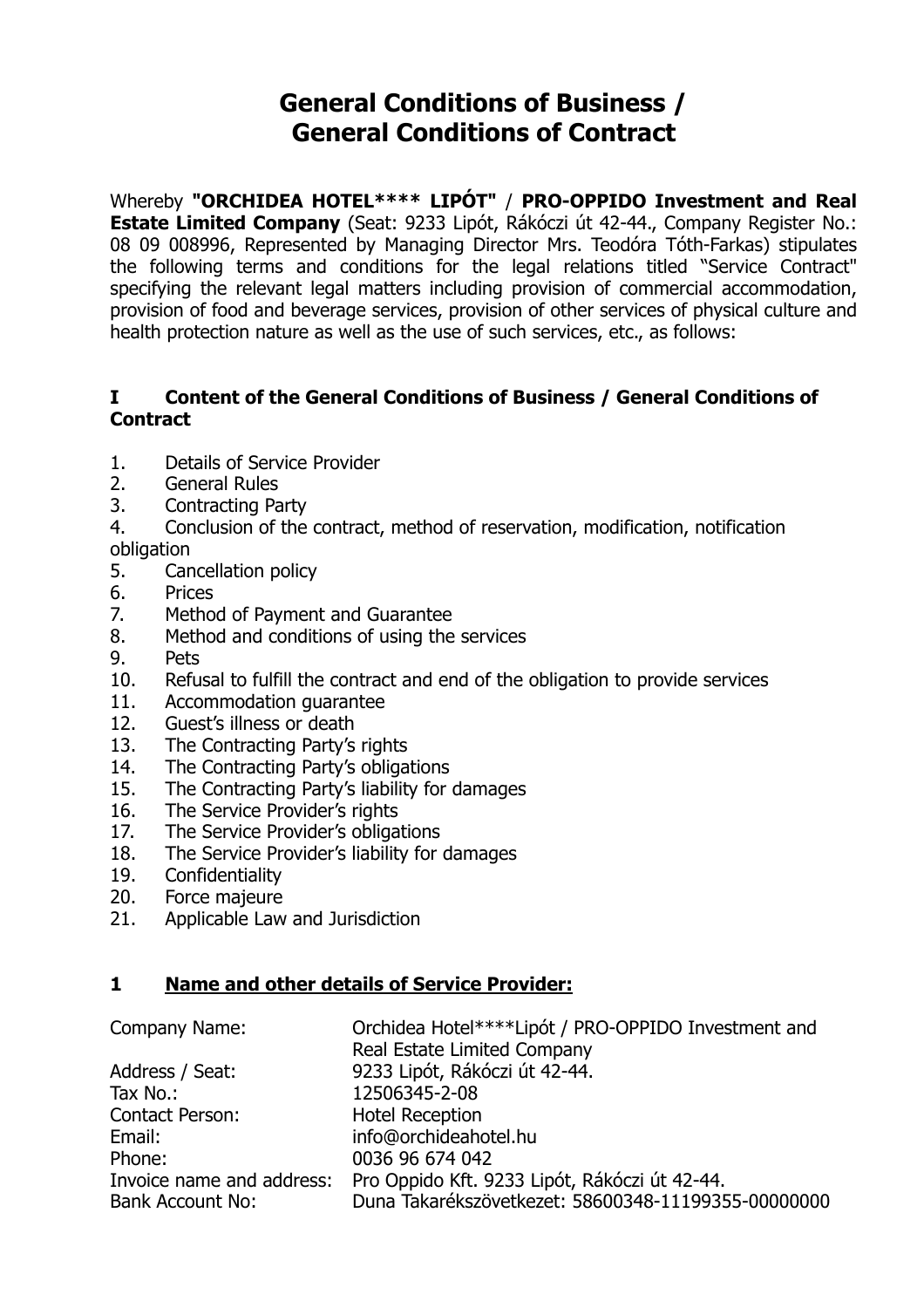# **General Conditions of Business / General Conditions of Contract**

Whereby **"ORCHIDEA HOTEL\*\*\*\* LIPÓT"** / **PRO-OPPIDO Investment and Real Estate Limited Company** (Seat: 9233 Lipót, Rákóczi út 42-44., Company Register No.: 08 09 008996, Represented by Managing Director Mrs. Teodóra Tóth-Farkas) stipulates the following terms and conditions for the legal relations titled "Service Contract" specifying the relevant legal matters including provision of commercial accommodation, provision of food and beverage services, provision of other services of physical culture and health protection nature as well as the use of such services, etc., as follows:

## **I Content of the General Conditions of Business / General Conditions of Contract**

- [1. Details of Service Provider](http://www.danubiushotels.hu/adatvedelem?sid=ikl483vd9ck2f54hr69iu5gmf7#szolg%C3%A1ltat%C3%B3%20adatai)
- [2. General Rules](http://www.danubiushotels.hu/adatvedelem?sid=ikl483vd9ck2f54hr69iu5gmf7#%C3%A1ltal%C3%A1nos%20szab%C3%A1lyok)
- [3. Contracting](http://www.danubiushotels.hu/adatvedelem?sid=ikl483vd9ck2f54hr69iu5gmf7#szerz%C5%91d%C5%91%20f%C3%A9l) Party
- [4. Conclusion of the contract, method of reservation, modification, notification](http://www.danubiushotels.hu/adatvedelem?sid=ikl483vd9ck2f54hr69iu5gmf7#szerz%C5%91d%C3%A9s%20l%C3%A9trej%C3%B6tte,%20a%20foglal%C3%A1s%20m%C3%B3dja,%20m%C3%B3dos%C3%ADt%C3%A1sa,%20%C3%A9rtes%C3%ADt%C3%A9si%20k%C3%B6telezetts%C3%A9g)  [obligation](http://www.danubiushotels.hu/adatvedelem?sid=ikl483vd9ck2f54hr69iu5gmf7#szerz%C5%91d%C3%A9s%20l%C3%A9trej%C3%B6tte,%20a%20foglal%C3%A1s%20m%C3%B3dja,%20m%C3%B3dos%C3%ADt%C3%A1sa,%20%C3%A9rtes%C3%ADt%C3%A9si%20k%C3%B6telezetts%C3%A9g)
- [5. Cancellation](http://www.danubiushotels.hu/adatvedelem?sid=ikl483vd9ck2f54hr69iu5gmf7#lemond%C3%A1si%20felt%C3%A9telek) policy
- [6. Prices](http://www.danubiushotels.hu/adatvedelem?sid=ikl483vd9ck2f54hr69iu5gmf7#%C3%A1rak)
- [7. Method of Payment and Guarantee](http://www.danubiushotels.hu/adatvedelem?sid=ikl483vd9ck2f54hr69iu5gmf7#fizet%C3%A9s%20m%C3%B3dja,%20garancia)
- [8. Method and conditions of using the services](http://www.danubiushotels.hu/adatvedelem?sid=ikl483vd9ck2f54hr69iu5gmf7#szolg%C3%A1ltat%C3%A1s%20ig%C3%A9nybev%C3%A9tel%C3%A9nek%20m%C3%B3dja%20%C3%A9s%20felt%C3%A9telei)
- [9. Pets](http://www.danubiushotels.hu/adatvedelem?sid=ikl483vd9ck2f54hr69iu5gmf7#h%C3%A1zi%C3%A1llatok)
- [10. Refusal to fulfill the contract and end of the obligation to provide services](http://www.danubiushotels.hu/adatvedelem?sid=ikl483vd9ck2f54hr69iu5gmf7#szerz%C5%91d%C3%A9s%20teljes%C3%ADt%C3%A9s%C3%A9nek%20visszautas%C3%ADt%C3%A1sa)
- [11. Accommodation](http://www.danubiushotels.hu/adatvedelem?sid=ikl483vd9ck2f54hr69iu5gmf7#elhelyez%C3%A9si%20garancia) guarantee
- [12. Guest's illness or death](http://www.danubiushotels.hu/adatvedelem?sid=ikl483vd9ck2f54hr69iu5gmf7#vend%C3%A9g%20betegs%C3%A9ge,%20hal%C3%A1la)
- [13. The Contracting Party's rights](http://www.danubiushotels.hu/adatvedelem?sid=ikl483vd9ck2f54hr69iu5gmf7#szerz%C5%91d%C5%91%20f%C3%A9l%20jogai)
- [14. The Contracting Party's obligations](http://www.danubiushotels.hu/adatvedelem?sid=ikl483vd9ck2f54hr69iu5gmf7#szerz%C5%91d%C5%91%20f%C3%A9l%20k%C3%B6telezetts%C3%A9gei)
- [15. The Contracting Party's liability for damages](http://www.danubiushotels.hu/adatvedelem?sid=ikl483vd9ck2f54hr69iu5gmf7#szerz%C5%91d%C5%91%20f%C3%A9l%20k%C3%A1rt%C3%A9r%C3%ADt%C3%A9si%20felel%C5%91ss%C3%A9ge)
- [16. The Service Provider's rights](http://www.danubiushotels.hu/adatvedelem?sid=ikl483vd9ck2f54hr69iu5gmf7#szolg%C3%A1ltat%C3%B3%20jogai)
- [17. The Service Provider's obligations](http://www.danubiushotels.hu/adatvedelem?sid=ikl483vd9ck2f54hr69iu5gmf7#szolg%C3%A1ltat%C3%B3%20k%C3%B6telezetts%C3%A9ge)
- [18. The Service Provider's liability for damages](http://www.danubiushotels.hu/adatvedelem?sid=ikl483vd9ck2f54hr69iu5gmf7#szolg%C3%A1ltat%C3%B3%20k%C3%A1rt%C3%A9r%C3%ADt%C3%A9si%20felel%C5%91ss%C3%A9ge)
- [19. Confidentiality](http://www.danubiushotels.hu/adatvedelem?sid=ikl483vd9ck2f54hr69iu5gmf7#titoktart%C3%A1s)
- [20. Force](http://www.danubiushotels.hu/adatvedelem?sid=ikl483vd9ck2f54hr69iu5gmf7#vis%20major) majeure
- [21. Applicable Law and Jurisdiction](http://www.danubiushotels.hu/adatvedelem?sid=ikl483vd9ck2f54hr69iu5gmf7#felek%20jogviszony%C3%A1ban%20alkalmazand%C3%B3%20jog,%20elj%C3%A1r%C3%B3%20b%C3%ADr%C3%B3s%C3%A1g)

#### **1 Name and other details of Service Provider:**

| Company Name:             | Orchidea Hotel****Lipót / PRO-OPPIDO Investment and |
|---------------------------|-----------------------------------------------------|
|                           | Real Estate Limited Company                         |
| Address / Seat:           | 9233 Lipót, Rákóczi út 42-44.                       |
| Tax No.:                  | 12506345-2-08                                       |
| Contact Person:           | <b>Hotel Reception</b>                              |
| Email:                    | info@orchideahotel.hu                               |
| Phone:                    | 0036 96 674 042                                     |
| Invoice name and address: | Pro Oppido Kft. 9233 Lipót, Rákóczi út 42-44.       |
| <b>Bank Account No:</b>   | Duna Takarékszövetkezet: 58600348-11199355-00000000 |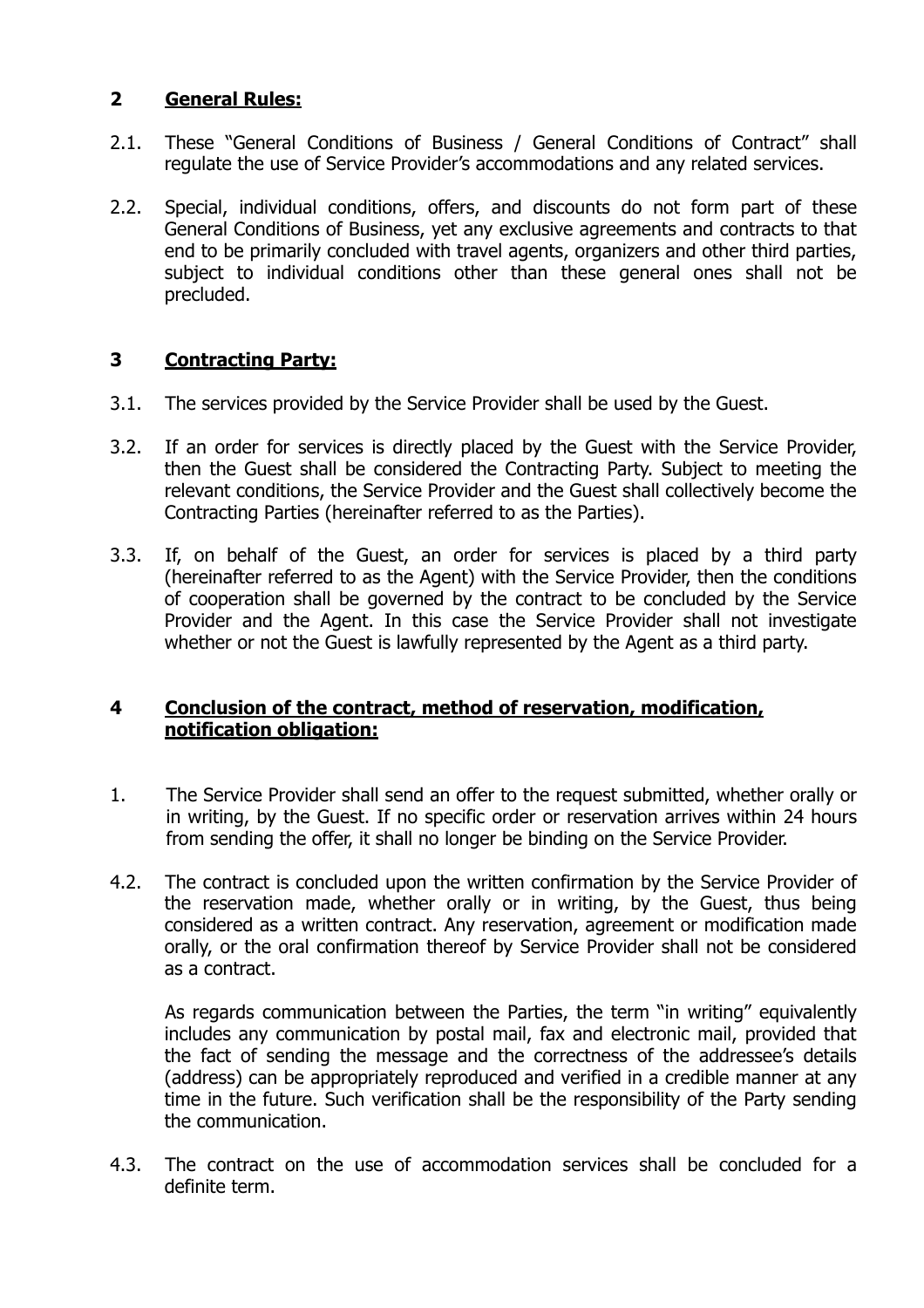### **2 General Rules:**

- 2.1. These "General Conditions of Business / General Conditions of Contract" shall regulate the use of Service Provider's accommodations and any related services.
- 2.2. Special, individual conditions, offers, and discounts do not form part of these General Conditions of Business, yet any exclusive agreements and contracts to that end to be primarily concluded with travel agents, organizers and other third parties, subject to individual conditions other than these general ones shall not be precluded.

# **3 Contracting Party:**

- 3.1. The services provided by the Service Provider shall be used by the Guest.
- 3.2. If an order for services is directly placed by the Guest with the Service Provider, then the Guest shall be considered the Contracting Party. Subject to meeting the relevant conditions, the Service Provider and the Guest shall collectively become the Contracting Parties (hereinafter referred to as the Parties).
- 3.3. If, on behalf of the Guest, an order for services is placed by a third party (hereinafter referred to as the Agent) with the Service Provider, then the conditions of cooperation shall be governed by the contract to be concluded by the Service Provider and the Agent. In this case the Service Provider shall not investigate whether or not the Guest is lawfully represented by the Agent as a third party.

#### **4 Conclusion of the contract, method of reservation, modification, notification obligation:**

- 1. The Service Provider shall send an offer to the request submitted, whether orally or in writing, by the Guest. If no specific order or reservation arrives within 24 hours from sending the offer, it shall no longer be binding on the Service Provider.
- 4.2. The contract is concluded upon the written confirmation by the Service Provider of the reservation made, whether orally or in writing, by the Guest, thus being considered as a written contract. Any reservation, agreement or modification made orally, or the oral confirmation thereof by Service Provider shall not be considered as a contract.

 As regards communication between the Parties, the term "in writing" equivalently includes any communication by postal mail, fax and electronic mail, provided that the fact of sending the message and the correctness of the addressee's details (address) can be appropriately reproduced and verified in a credible manner at any time in the future. Such verification shall be the responsibility of the Party sending the communication.

4.3. The contract on the use of accommodation services shall be concluded for a definite term.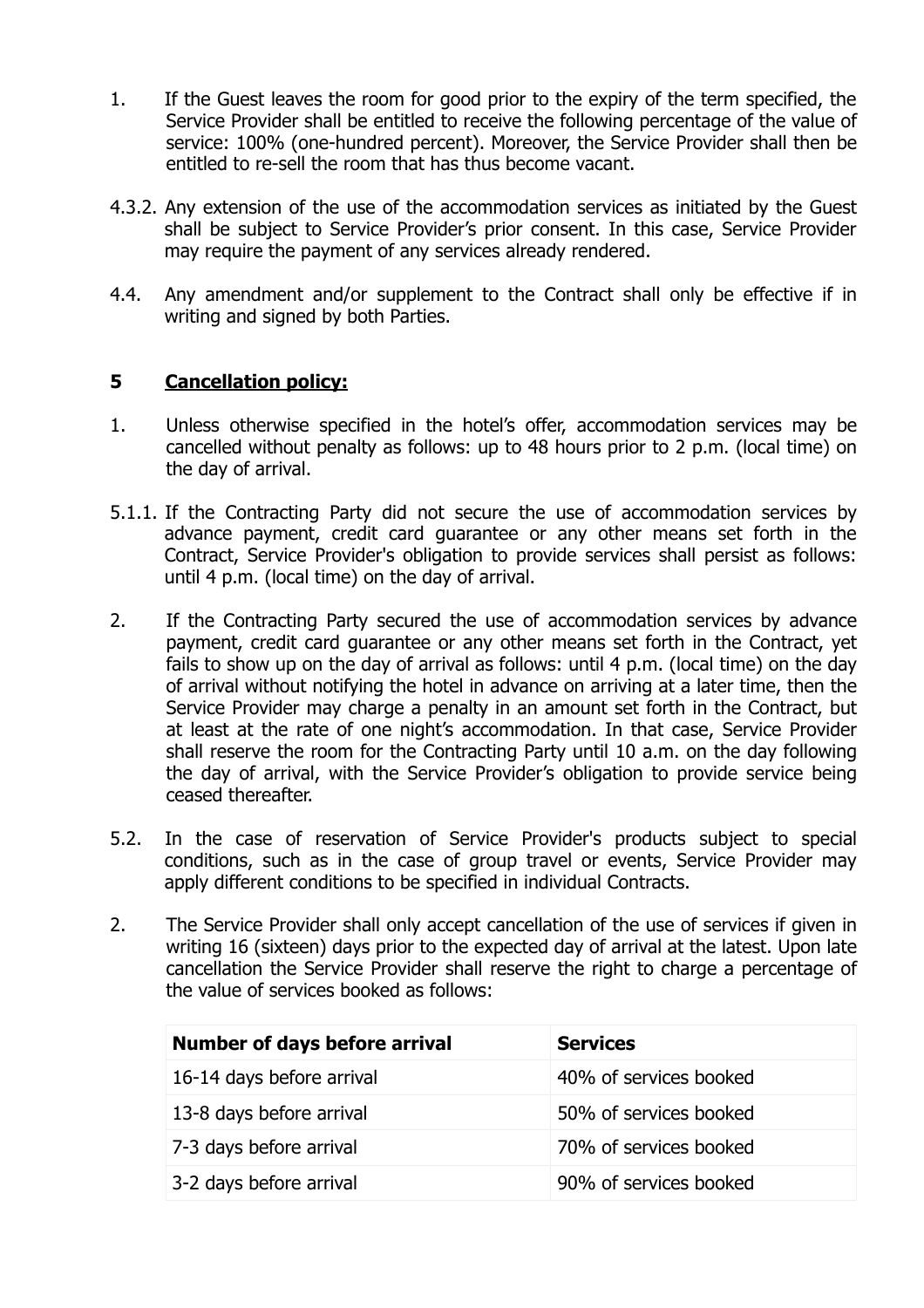- 1. If the Guest leaves the room for good prior to the expiry of the term specified, the Service Provider shall be entitled to receive the following percentage of the value of service: 100% (one-hundred percent). Moreover, the Service Provider shall then be entitled to re-sell the room that has thus become vacant.
- 4.3.2. Any extension of the use of the accommodation services as initiated by the Guest shall be subject to Service Provider's prior consent. In this case, Service Provider may require the payment of any services already rendered.
- 4.4. Any amendment and/or supplement to the Contract shall only be effective if in writing and signed by both Parties.

## **5 Cancellation policy:**

- 1. Unless otherwise specified in the hotel's offer, accommodation services may be cancelled without penalty as follows: up to 48 hours prior to 2 p.m. (local time) on the day of arrival.
- 5.1.1. If the Contracting Party did not secure the use of accommodation services by advance payment, credit card guarantee or any other means set forth in the Contract, Service Provider's obligation to provide services shall persist as follows: until 4 p.m. (local time) on the day of arrival.
- 2. If the Contracting Party secured the use of accommodation services by advance payment, credit card guarantee or any other means set forth in the Contract, yet fails to show up on the day of arrival as follows: until 4 p.m. (local time) on the day of arrival without notifying the hotel in advance on arriving at a later time, then the Service Provider may charge a penalty in an amount set forth in the Contract, but at least at the rate of one night's accommodation. In that case, Service Provider shall reserve the room for the Contracting Party until 10 a.m. on the day following the day of arrival, with the Service Provider's obligation to provide service being ceased thereafter.
- 5.2. In the case of reservation of Service Provider's products subject to special conditions, such as in the case of group travel or events, Service Provider may apply different conditions to be specified in individual Contracts.
- 2. The Service Provider shall only accept cancellation of the use of services if given in writing 16 (sixteen) days prior to the expected day of arrival at the latest. Upon late cancellation the Service Provider shall reserve the right to charge a percentage of the value of services booked as follows:

| <b>Number of days before arrival</b> | <b>Services</b>        |
|--------------------------------------|------------------------|
| 16-14 days before arrival            | 40% of services booked |
| 13-8 days before arrival             | 50% of services booked |
| 7-3 days before arrival              | 70% of services booked |
| 3-2 days before arrival              | 90% of services booked |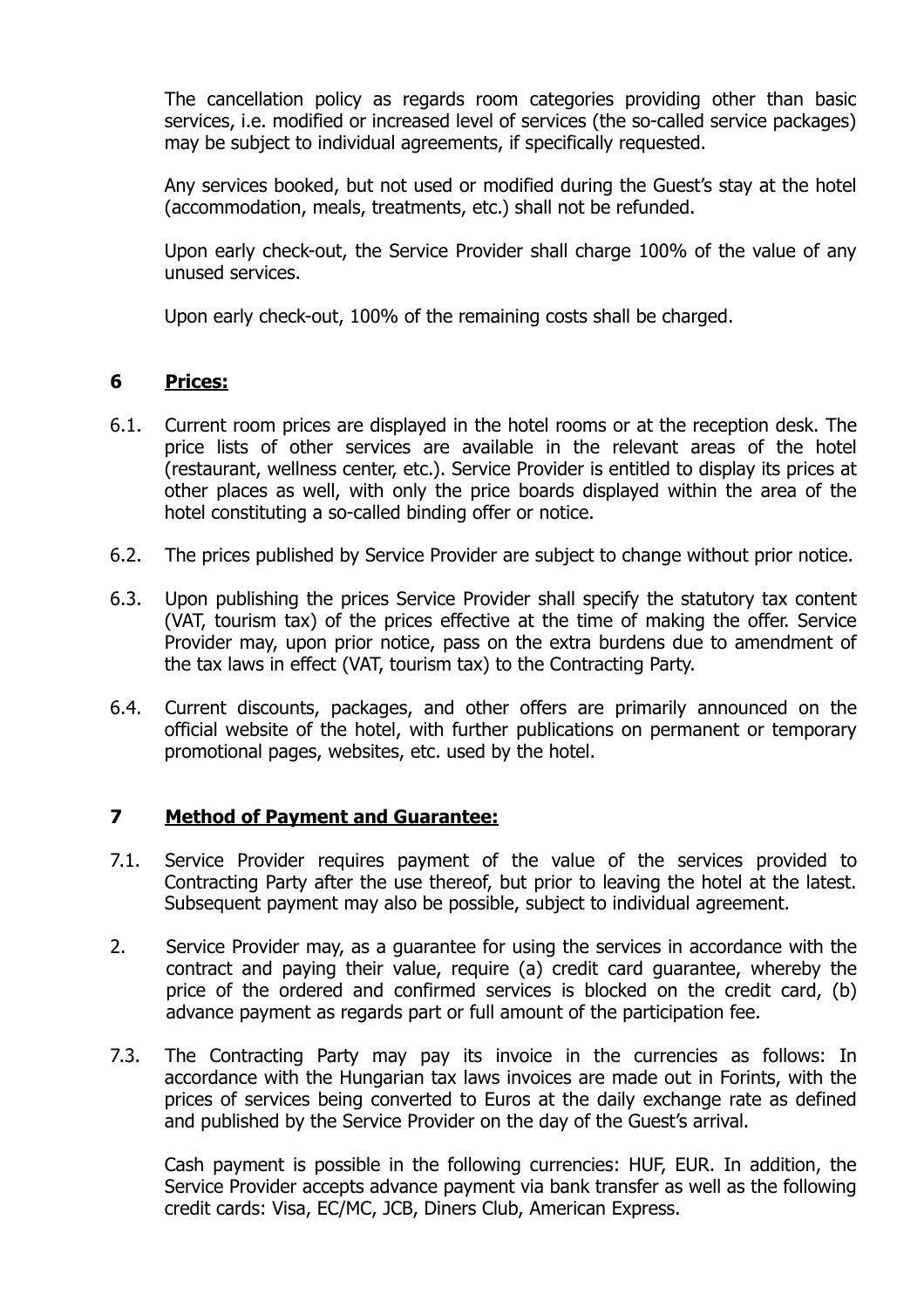The cancellation policy as regards room categories providing other than basic services, i.e. modified or increased level of services (the so-called service packages) may be subject to individual agreements, if specifically requested.

Any services booked, but not used or modified during the Guest's stay at the hotel (accommodation, meals, treatments, etc.) shall not be refunded.

Upon early check-out, the Service Provider shall charge 100% of the value of any unused services.

Upon early check-out, 100% of the remaining costs shall be charged.

## **6 Prices:**

- 6.1. Current room prices are displayed in the hotel rooms or at the reception desk. The price lists of other services are available in the relevant areas of the hotel (restaurant, wellness center, etc.). Service Provider is entitled to display its prices at other places as well, with only the price boards displayed within the area of the hotel constituting a so-called binding offer or notice.
- 6.2. The prices published by Service Provider are subject to change without prior notice.
- 6.3. Upon publishing the prices Service Provider shall specify the statutory tax content (VAT, tourism tax) of the prices effective at the time of making the offer. Service Provider may, upon prior notice, pass on the extra burdens due to amendment of the tax laws in effect (VAT, tourism tax) to the Contracting Party.
- 6.4. Current discounts, packages, and other offers are primarily announced on the official website of the hotel, with further publications on permanent or temporary promotional pages, websites, etc. used by the hotel.

# **7 Method of Payment and Guarantee:**

- 7.1. Service Provider requires payment of the value of the services provided to Contracting Party after the use thereof, but prior to leaving the hotel at the latest. Subsequent payment may also be possible, subject to individual agreement.
- 2. Service Provider may, as a guarantee for using the services in accordance with the contract and paying their value, require (a) credit card guarantee, whereby the price of the ordered and confirmed services is blocked on the credit card, (b) advance payment as regards part or full amount of the participation fee.
- 7.3. The Contracting Party may pay its invoice in the currencies as follows: In accordance with the Hungarian tax laws invoices are made out in Forints, with the prices of services being converted to Euros at the daily exchange rate as defined and published by the Service Provider on the day of the Guest's arrival.

Cash payment is possible in the following currencies: HUF, EUR. In addition, the Service Provider accepts advance payment via bank transfer as well as the following credit cards: Visa, EC/MC, JCB, Diners Club, American Express.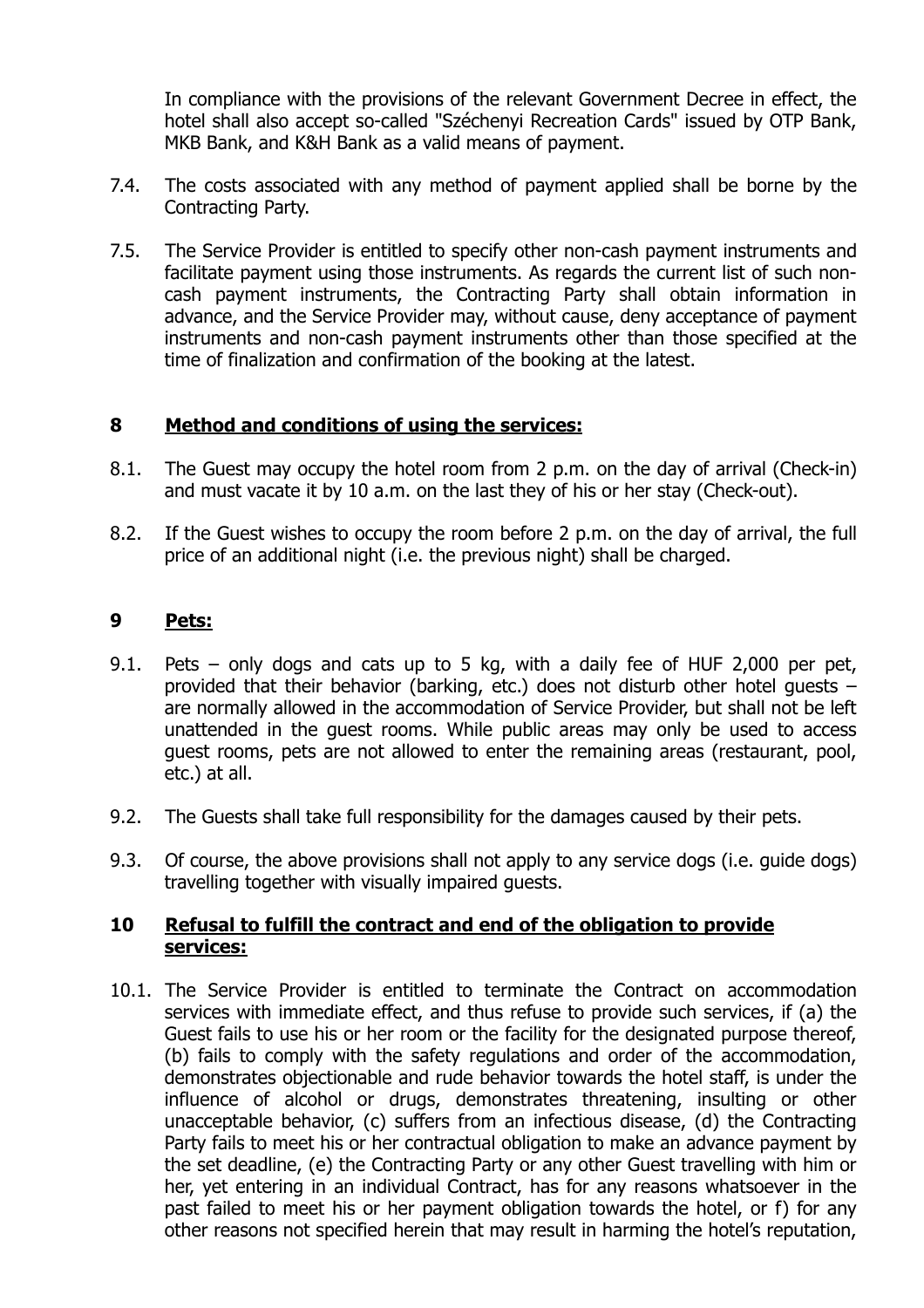In compliance with the provisions of the relevant Government Decree in effect, the hotel shall also accept so-called "Széchenyi Recreation Cards" issued by OTP Bank, MKB Bank, and K&H Bank as a valid means of payment.

- 7.4. The costs associated with any method of payment applied shall be borne by the Contracting Party.
- 7.5. The Service Provider is entitled to specify other non-cash payment instruments and facilitate payment using those instruments. As regards the current list of such noncash payment instruments, the Contracting Party shall obtain information in advance, and the Service Provider may, without cause, deny acceptance of payment instruments and non-cash payment instruments other than those specified at the time of finalization and confirmation of the booking at the latest.

#### **8 Method and conditions of using the services:**

- 8.1. The Guest may occupy the hotel room from 2 p.m. on the day of arrival (Check-in) and must vacate it by 10 a.m. on the last they of his or her stay (Check-out).
- 8.2. If the Guest wishes to occupy the room before 2 p.m. on the day of arrival, the full price of an additional night (i.e. the previous night) shall be charged.

## **9 Pets:**

- 9.1. Pets only dogs and cats up to 5 kg, with a daily fee of HUF 2,000 per pet, provided that their behavior (barking, etc.) does not disturb other hotel guests – are normally allowed in the accommodation of Service Provider, but shall not be left unattended in the guest rooms. While public areas may only be used to access guest rooms, pets are not allowed to enter the remaining areas (restaurant, pool, etc.) at all.
- 9.2. The Guests shall take full responsibility for the damages caused by their pets.
- 9.3. Of course, the above provisions shall not apply to any service dogs (i.e. guide dogs) travelling together with visually impaired guests.

#### **10 Refusal to fulfill the contract and end of the obligation to provide services:**

10.1. The Service Provider is entitled to terminate the Contract on accommodation services with immediate effect, and thus refuse to provide such services, if (a) the Guest fails to use his or her room or the facility for the designated purpose thereof, (b) fails to comply with the safety regulations and order of the accommodation, demonstrates objectionable and rude behavior towards the hotel staff, is under the influence of alcohol or drugs, demonstrates threatening, insulting or other unacceptable behavior, (c) suffers from an infectious disease, (d) the Contracting Party fails to meet his or her contractual obligation to make an advance payment by the set deadline, (e) the Contracting Party or any other Guest travelling with him or her, yet entering in an individual Contract, has for any reasons whatsoever in the past failed to meet his or her payment obligation towards the hotel, or f) for any other reasons not specified herein that may result in harming the hotel's reputation,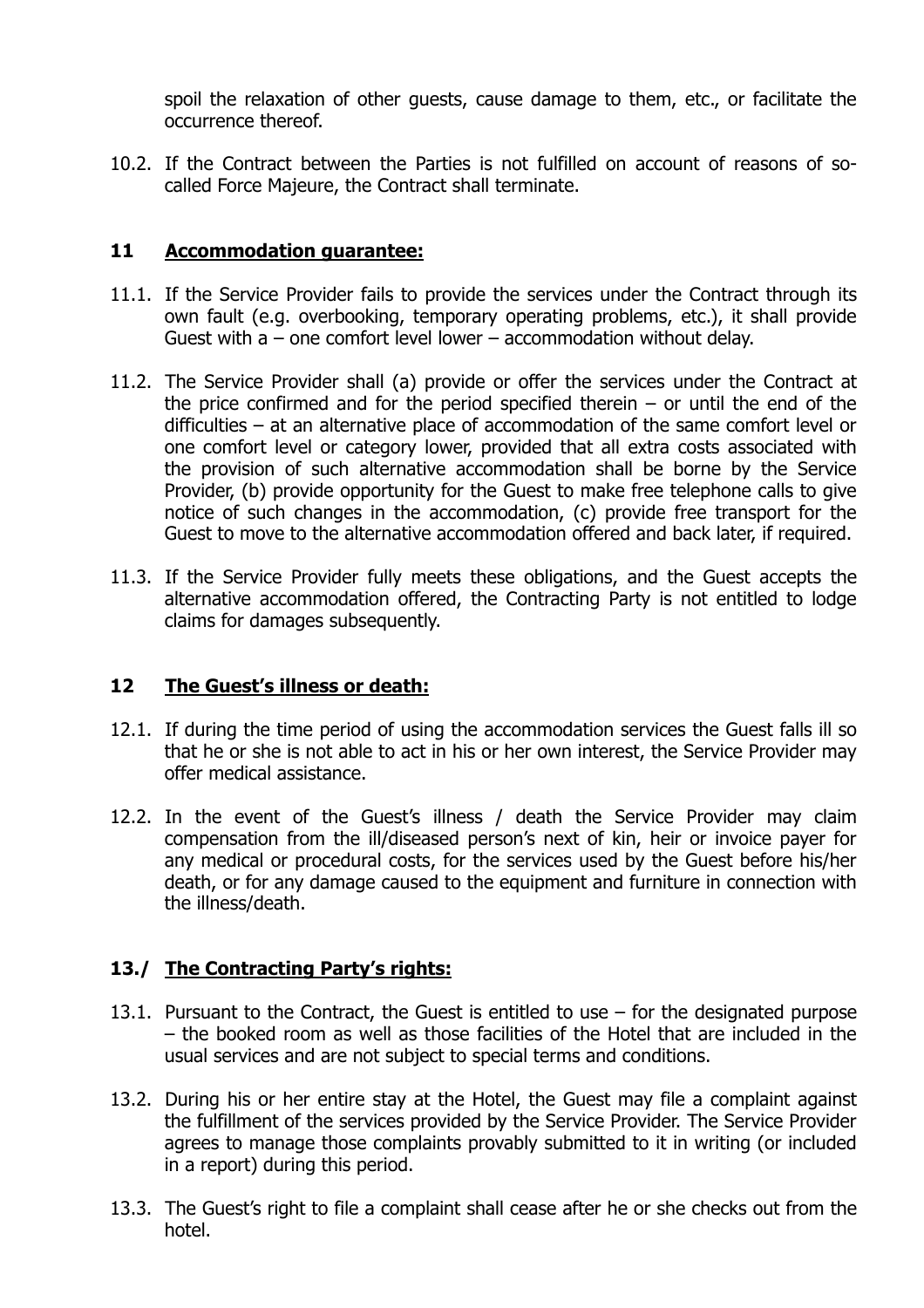spoil the relaxation of other guests, cause damage to them, etc., or facilitate the occurrence thereof.

10.2. If the Contract between the Parties is not fulfilled on account of reasons of socalled Force Majeure, the Contract shall terminate.

#### **11 Accommodation guarantee:**

- 11.1. If the Service Provider fails to provide the services under the Contract through its own fault (e.g. overbooking, temporary operating problems, etc.), it shall provide Guest with a – one comfort level lower – accommodation without delay.
- 11.2. The Service Provider shall (a) provide or offer the services under the Contract at the price confirmed and for the period specified therein  $-$  or until the end of the difficulties – at an alternative place of accommodation of the same comfort level or one comfort level or category lower, provided that all extra costs associated with the provision of such alternative accommodation shall be borne by the Service Provider, (b) provide opportunity for the Guest to make free telephone calls to give notice of such changes in the accommodation, (c) provide free transport for the Guest to move to the alternative accommodation offered and back later, if required.
- 11.3. If the Service Provider fully meets these obligations, and the Guest accepts the alternative accommodation offered, the Contracting Party is not entitled to lodge claims for damages subsequently.

#### **12 The Guest's illness or death:**

- 12.1. If during the time period of using the accommodation services the Guest falls ill so that he or she is not able to act in his or her own interest, the Service Provider may offer medical assistance.
- 12.2. In the event of the Guest's illness / death the Service Provider may claim compensation from the ill/diseased person's next of kin, heir or invoice payer for any medical or procedural costs, for the services used by the Guest before his/her death, or for any damage caused to the equipment and furniture in connection with the illness/death.

# **13./ The Contracting Party's rights:**

- 13.1. Pursuant to the Contract, the Guest is entitled to use for the designated purpose – the booked room as well as those facilities of the Hotel that are included in the usual services and are not subject to special terms and conditions.
- 13.2. During his or her entire stay at the Hotel, the Guest may file a complaint against the fulfillment of the services provided by the Service Provider. The Service Provider agrees to manage those complaints provably submitted to it in writing (or included in a report) during this period.
- 13.3. The Guest's right to file a complaint shall cease after he or she checks out from the hotel.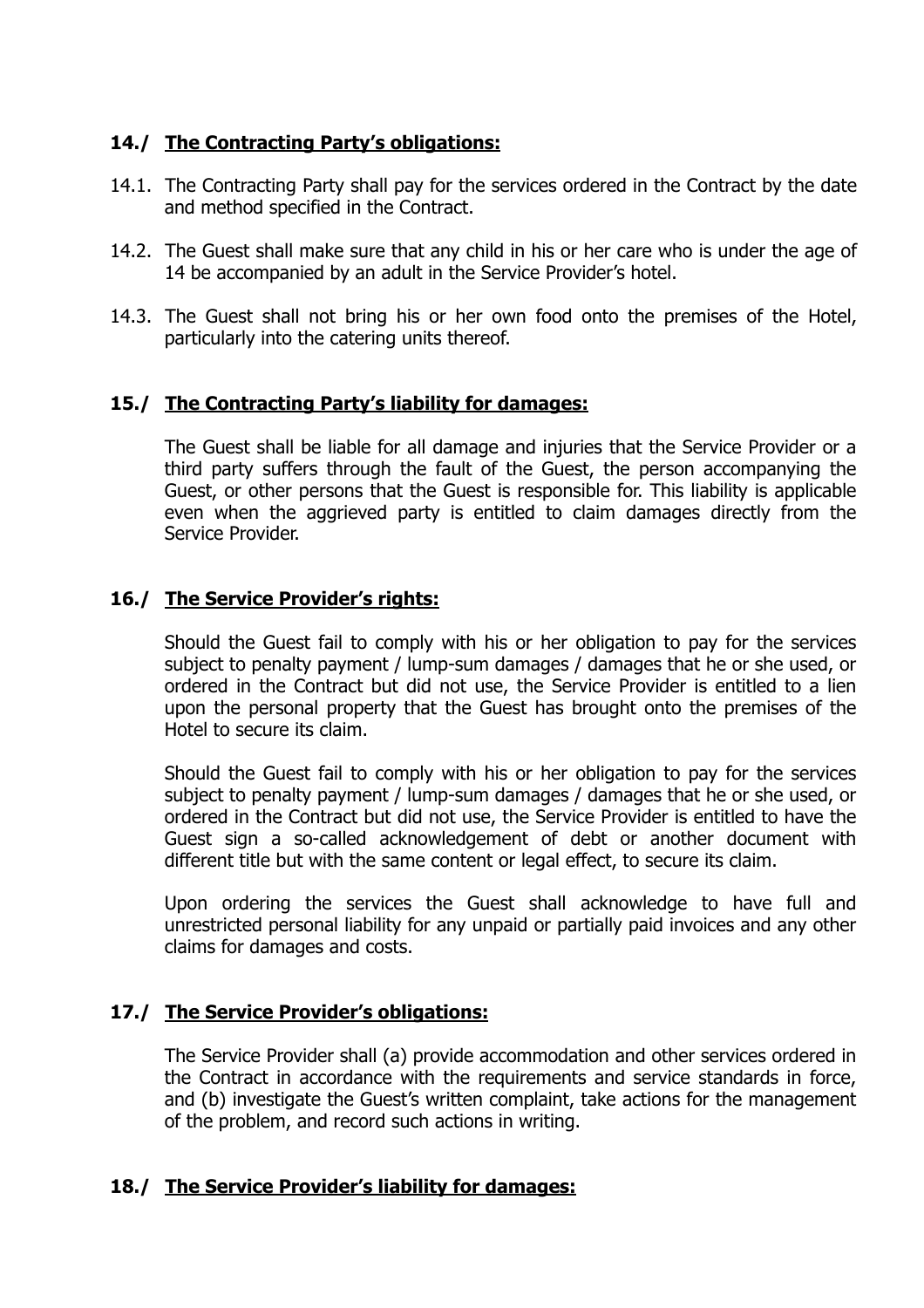# **14./ The Contracting Party's obligations:**

- 14.1. The Contracting Party shall pay for the services ordered in the Contract by the date and method specified in the Contract.
- 14.2. The Guest shall make sure that any child in his or her care who is under the age of 14 be accompanied by an adult in the Service Provider's hotel.
- 14.3. The Guest shall not bring his or her own food onto the premises of the Hotel, particularly into the catering units thereof.

# **15./ The Contracting Party's liability for damages:**

The Guest shall be liable for all damage and injuries that the Service Provider or a third party suffers through the fault of the Guest, the person accompanying the Guest, or other persons that the Guest is responsible for. This liability is applicable even when the aggrieved party is entitled to claim damages directly from the Service Provider.

## **16./ The Service Provider's rights:**

Should the Guest fail to comply with his or her obligation to pay for the services subject to penalty payment / lump-sum damages / damages that he or she used, or ordered in the Contract but did not use, the Service Provider is entitled to a lien upon the personal property that the Guest has brought onto the premises of the Hotel to secure its claim.

Should the Guest fail to comply with his or her obligation to pay for the services subject to penalty payment / lump-sum damages / damages that he or she used, or ordered in the Contract but did not use, the Service Provider is entitled to have the Guest sign a so-called acknowledgement of debt or another document with different title but with the same content or legal effect, to secure its claim.

Upon ordering the services the Guest shall acknowledge to have full and unrestricted personal liability for any unpaid or partially paid invoices and any other claims for damages and costs.

#### **17./ The Service Provider's obligations:**

The Service Provider shall (a) provide accommodation and other services ordered in the Contract in accordance with the requirements and service standards in force, and (b) investigate the Guest's written complaint, take actions for the management of the problem, and record such actions in writing.

#### **18./ The Service Provider's liability for damages:**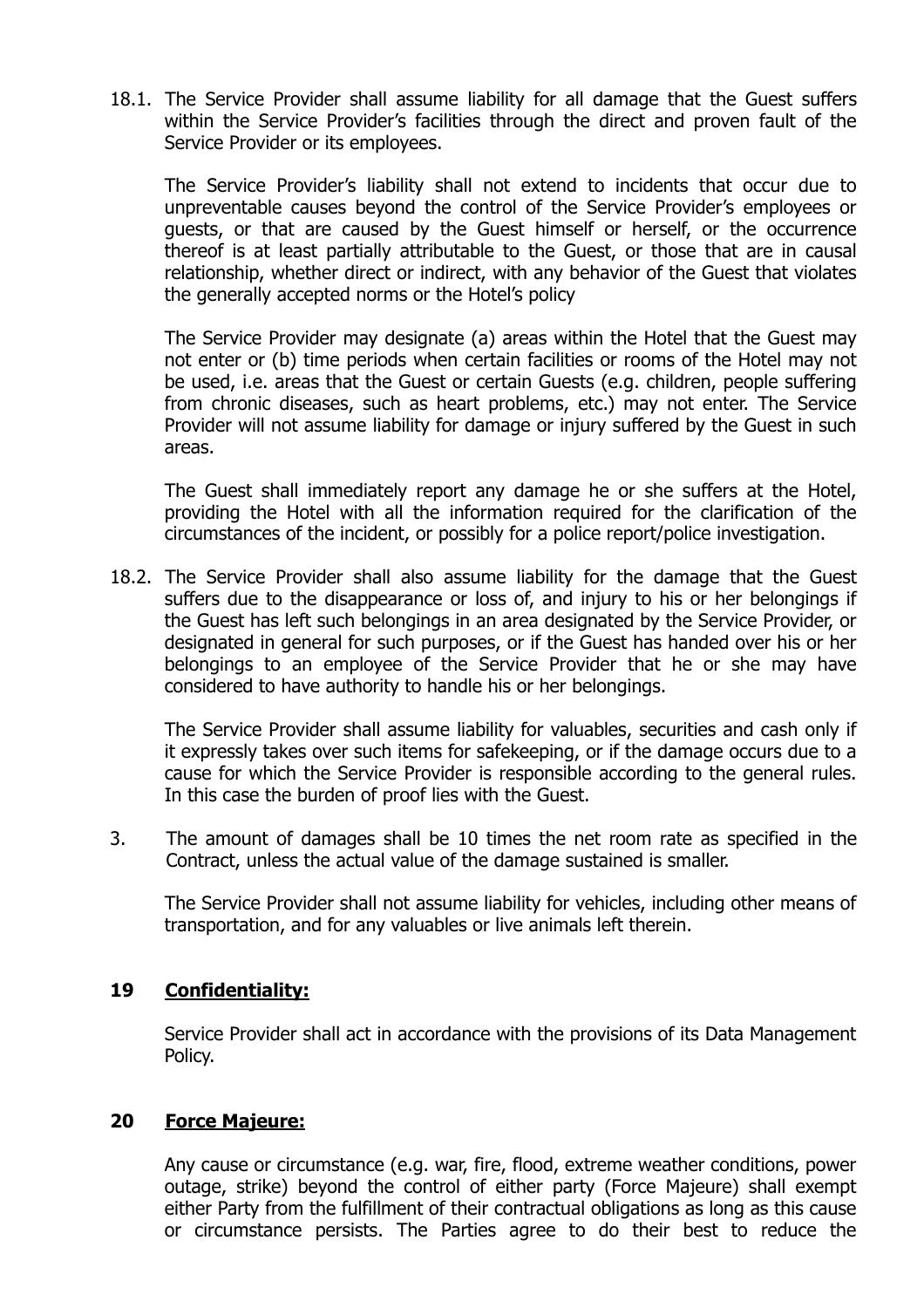18.1. The Service Provider shall assume liability for all damage that the Guest suffers within the Service Provider's facilities through the direct and proven fault of the Service Provider or its employees.

The Service Provider's liability shall not extend to incidents that occur due to unpreventable causes beyond the control of the Service Provider's employees or guests, or that are caused by the Guest himself or herself, or the occurrence thereof is at least partially attributable to the Guest, or those that are in causal relationship, whether direct or indirect, with any behavior of the Guest that violates the generally accepted norms or the Hotel's policy

The Service Provider may designate (a) areas within the Hotel that the Guest may not enter or (b) time periods when certain facilities or rooms of the Hotel may not be used, i.e. areas that the Guest or certain Guests (e.g. children, people suffering from chronic diseases, such as heart problems, etc.) may not enter. The Service Provider will not assume liability for damage or injury suffered by the Guest in such areas.

The Guest shall immediately report any damage he or she suffers at the Hotel, providing the Hotel with all the information required for the clarification of the circumstances of the incident, or possibly for a police report/police investigation.

18.2. The Service Provider shall also assume liability for the damage that the Guest suffers due to the disappearance or loss of, and injury to his or her belongings if the Guest has left such belongings in an area designated by the Service Provider, or designated in general for such purposes, or if the Guest has handed over his or her belongings to an employee of the Service Provider that he or she may have considered to have authority to handle his or her belongings.

The Service Provider shall assume liability for valuables, securities and cash only if it expressly takes over such items for safekeeping, or if the damage occurs due to a cause for which the Service Provider is responsible according to the general rules. In this case the burden of proof lies with the Guest.

3. The amount of damages shall be 10 times the net room rate as specified in the Contract, unless the actual value of the damage sustained is smaller.

The Service Provider shall not assume liability for vehicles, including other means of transportation, and for any valuables or live animals left therein.

#### **19 Confidentiality:**

Service Provider shall act in accordance with the provisions of its Data Management Policy.

#### **20 Force Majeure:**

Any cause or circumstance (e.g. war, fire, flood, extreme weather conditions, power outage, strike) beyond the control of either party (Force Majeure) shall exempt either Party from the fulfillment of their contractual obligations as long as this cause or circumstance persists. The Parties agree to do their best to reduce the